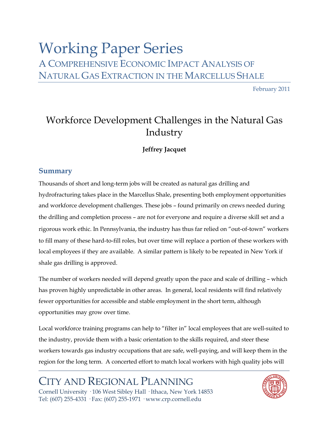# Working Paper Series A COMPREHENSIVE ECONOMIC IMPACT ANALYSIS OF NATURAL GAS EXTRACTION IN THE MARCELLUS SHALE

February 2011

# Workforce Development Challenges in the Natural Gas Industry

## **Jeffrey Jacquet**

## **Summary**

Thousands of short and long-term jobs will be created as natural gas drilling and hydrofracturing takes place in the Marcellus Shale, presenting both employment opportunities and workforce development challenges. These jobs – found primarily on crews needed during the drilling and completion process – are not for everyone and require a diverse skill set and a rigorous work ethic. In Pennsylvania, the industry has thus far relied on "out-of-town" workers to fill many of these hard-to-fill roles, but over time will replace a portion of these workers with local employees if they are available. A similar pattern is likely to be repeated in New York if shale gas drilling is approved.

The number of workers needed will depend greatly upon the pace and scale of drilling – which has proven highly unpredictable in other areas. In general, local residents will find relatively fewer opportunities for accessible and stable employment in the short term, although opportunities may grow over time.

Local workforce training programs can help to "filter in" local employees that are well-suited to the industry, provide them with a basic orientation to the skills required, and steer these workers towards gas industry occupations that are safe, well-paying, and will keep them in the region for the long term. A concerted effort to match local workers with high quality jobs will

## CITY AND REGIONAL PLANNING Cornell University · 106 West Sibley Hall · Ithaca, New York 14853 Tel: (607) 255-4331 · Fax: (607) 255-1971 · www.crp.cornell.edu

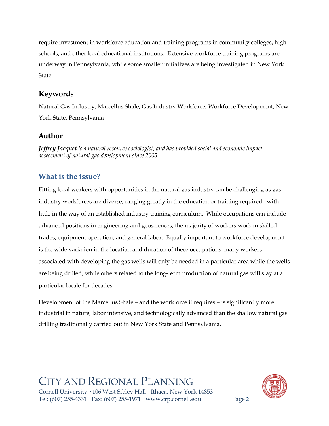require investment in workforce education and training programs in community colleges, high schools, and other local educational institutions. Extensive workforce training programs are underway in Pennsylvania, while some smaller initiatives are being investigated in New York State.

## **Keywords**

Natural Gas Industry, Marcellus Shale, Gas Industry Workforce, Workforce Development, New York State, Pennsylvania

## **Author**

*Jeffrey Jacquet is a natural resource sociologist, and has provided social and economic impact assessment of natural gas development since 2005.* 

## **What is the issue?**

Fitting local workers with opportunities in the natural gas industry can be challenging as gas industry workforces are diverse, ranging greatly in the education or training required, with little in the way of an established industry training curriculum. While occupations can include advanced positions in engineering and geosciences, the majority of workers work in skilled trades, equipment operation, and general labor. Equally important to workforce development is the wide variation in the location and duration of these occupations: many workers associated with developing the gas wells will only be needed in a particular area while the wells are being drilled, while others related to the long-term production of natural gas will stay at a particular locale for decades.

Development of the Marcellus Shale – and the workforce it requires – is significantly more industrial in nature, labor intensive, and technologically advanced than the shallow natural gas drilling traditionally carried out in New York State and Pennsylvania.

## CITY AND REGIONAL PLANNING Cornell University · 106 West Sibley Hall · Ithaca, New York 14853



Tel: (607) 255-4331 · Fax: (607) 255-1971 · www.crp.cornell.edu Page 2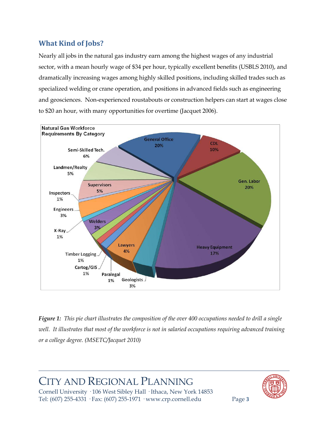## **What Kind of Jobs?**

Nearly all jobs in the natural gas industry earn among the highest wages of any industrial sector, with a mean hourly wage of \$34 per hour, typically excellent benefits (USBLS 2010), and dramatically increasing wages among highly skilled positions, including skilled trades such as specialized welding or crane operation, and positions in advanced fields such as engineering and geosciences. Non-experienced roustabouts or construction helpers can start at wages close to \$20 an hour, with many opportunities for overtime (Jacquet 2006).



*Figure 1: This pie chart illustrates the composition of the over 400 occupations needed to drill a single well. It illustrates that most of the workforce is not in salaried occupations requiring advanced training or a college degree. (MSETC/Jacquet 2010)*

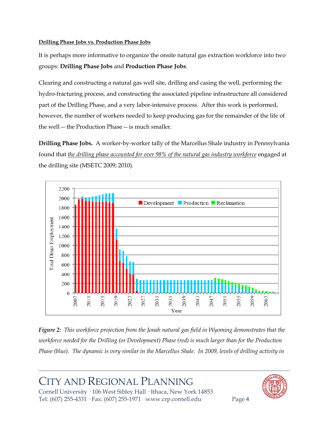### **Drilling Phase Jobs vs. Production Phase Jobs**

It is perhaps more informative to organize the onsite natural gas extraction workforce into two groups: **Drilling Phase Jobs** and **Production Phase Jobs**.

Clearing and constructing a natural gas well site, drilling and casing the well, performing the hydro-fracturing process, and constructing the associated pipeline infrastructure all considered part of the Drilling Phase, and a very labor-intensive process. After this work is performed, however, the number of workers needed to keep producing gas for the remainder of the life of the well -- the Production Phase -- is much smaller.

**Drilling Phase Jobs.** A worker-by-worker tally of the Marcellus Shale industry in Pennsylvania found that *the drilling phase accounted for over 98% of the natural gas industry workforce* engaged at the drilling site (MSETC 2009; 2010).



*Figure 2: This workforce projection from the Jonah natural gas field in Wyoming demonstrates that the workforce needed for the Drilling (or Development) Phase (red) is much larger than for the Production Phase (blue). The dynamic is very similar in the Marcellus Shale. In 2009, levels of drilling activity in* 

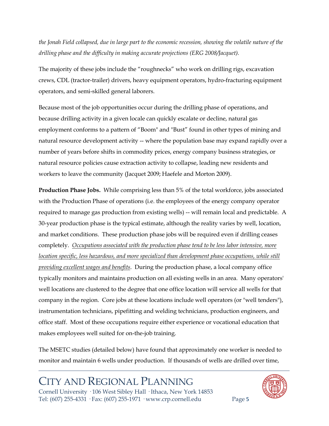*the Jonah Field collapsed, due in large part to the economic recession, showing the volatile nature of the drilling phase and the difficulty in making accurate projections (ERG 2008/Jacquet).* 

The majority of these jobs include the "roughnecks" who work on drilling rigs, excavation crews, CDL (tractor-trailer) drivers, heavy equipment operators, hydro-fracturing equipment operators, and semi-skilled general laborers.

Because most of the job opportunities occur during the drilling phase of operations, and because drilling activity in a given locale can quickly escalate or decline, natural gas employment conforms to a pattern of "Boom" and "Bust" found in other types of mining and natural resource development activity -- where the population base may expand rapidly over a number of years before shifts in commodity prices, energy company business strategies, or natural resource policies cause extraction activity to collapse, leading new residents and workers to leave the community (Jacquet 2009; Haefele and Morton 2009).

**Production Phase Jobs.** While comprising less than 5% of the total workforce, jobs associated with the Production Phase of operations (i.e. the employees of the energy company operator required to manage gas production from existing wells) -- will remain local and predictable. A 30-year production phase is the typical estimate, although the reality varies by well, location, and market conditions. These production phase jobs will be required even if drilling ceases completely. *Occupations associated with the production phase tend to be less labor intensive, more location specific, less hazardous, and more specialized than development phase occupations, while still providing excellent wages and benefits*. During the production phase, a local company office typically monitors and maintains production on all existing wells in an area. Many operators' well locations are clustered to the degree that one office location will service all wells for that company in the region. Core jobs at these locations include well operators (or "well tenders"), instrumentation technicians, pipefitting and welding technicians, production engineers, and office staff. Most of these occupations require either experience or vocational education that makes employees well suited for on-the-job training.

The MSETC studies (detailed below) have found that approximately one worker is needed to monitor and maintain 6 wells under production. If thousands of wells are drilled over time,

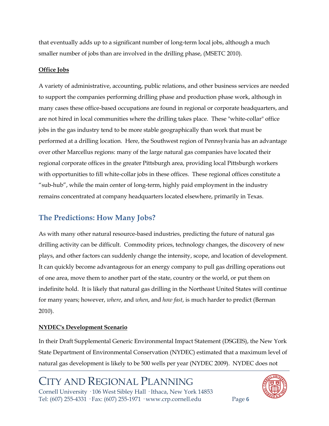that eventually adds up to a significant number of long-term local jobs, although a much smaller number of jobs than are involved in the drilling phase, (MSETC 2010).

### **Office Jobs**

A variety of administrative, accounting, public relations, and other business services are needed to support the companies performing drilling phase and production phase work, although in many cases these office-based occupations are found in regional or corporate headquarters, and are not hired in local communities where the drilling takes place. These "white-collar" office jobs in the gas industry tend to be more stable geographically than work that must be performed at a drilling location. Here, the Southwest region of Pennsylvania has an advantage over other Marcellus regions: many of the large natural gas companies have located their regional corporate offices in the greater Pittsburgh area, providing local Pittsburgh workers with opportunities to fill white-collar jobs in these offices. These regional offices constitute a "sub-hub", while the main center of long-term, highly paid employment in the industry remains concentrated at company headquarters located elsewhere, primarily in Texas.

## **The Predictions: How Many Jobs?**

As with many other natural resource-based industries, predicting the future of natural gas drilling activity can be difficult. Commodity prices, technology changes, the discovery of new plays, and other factors can suddenly change the intensity, scope, and location of development. It can quickly become advantageous for an energy company to pull gas drilling operations out of one area, move them to another part of the state, country or the world, or put them on indefinite hold. It is likely that natural gas drilling in the Northeast United States will continue for many years; however, *where*, and *when*, and *how fast*, is much harder to predict (Berman 2010).

### **NYDEC's Development Scenario**

In their Draft Supplemental Generic Environmental Impact Statement (DSGEIS), the New York State Department of Environmental Conservation (NYDEC) estimated that a maximum level of natural gas development is likely to be 500 wells per year (NYDEC 2009). NYDEC does not

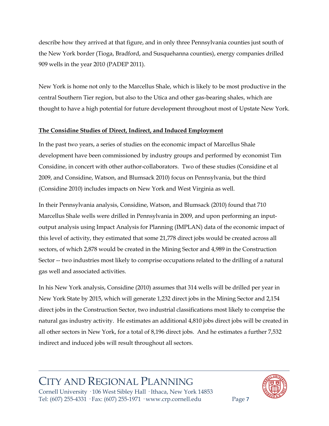describe how they arrived at that figure, and in only three Pennsylvania counties just south of the New York border (Tioga, Bradford, and Susquehanna counties), energy companies drilled 909 wells in the year 2010 (PADEP 2011).

New York is home not only to the Marcellus Shale, which is likely to be most productive in the central Southern Tier region, but also to the Utica and other gas-bearing shales, which are thought to have a high potential for future development throughout most of Upstate New York.

### **The Considine Studies of Direct, Indirect, and Induced Employment**

In the past two years, a series of studies on the economic impact of Marcellus Shale development have been commissioned by industry groups and performed by economist Tim Considine, in concert with other author-collaborators. Two of these studies (Considine et al 2009, and Considine, Watson, and Blumsack 2010) focus on Pennsylvania, but the third (Considine 2010) includes impacts on New York and West Virginia as well.

In their Pennsylvania analysis, Considine, Watson, and Blumsack (2010) found that 710 Marcellus Shale wells were drilled in Pennsylvania in 2009, and upon performing an inputoutput analysis using Impact Analysis for Planning (IMPLAN) data of the economic impact of this level of activity, they estimated that some 21,778 direct jobs would be created across all sectors, of which 2,878 would be created in the Mining Sector and 4,989 in the Construction Sector -- two industries most likely to comprise occupations related to the drilling of a natural gas well and associated activities.

In his New York analysis, Considine (2010) assumes that 314 wells will be drilled per year in New York State by 2015, which will generate 1,232 direct jobs in the Mining Sector and 2,154 direct jobs in the Construction Sector, two industrial classifications most likely to comprise the natural gas industry activity. He estimates an additional 4,810 jobs direct jobs will be created in all other sectors in New York, for a total of 8,196 direct jobs. And he estimates a further 7,532 indirect and induced jobs will result throughout all sectors.

## CITY AND REGIONAL PLANNING Cornell University · 106 West Sibley Hall · Ithaca, New York 14853

Tel: (607) 255-4331 · Fax: (607) 255-1971 · www.crp.cornell.edu Page 7

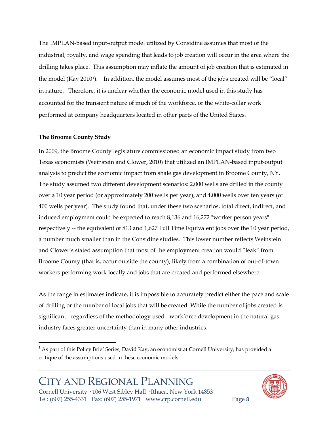The IMPLAN-based input-output model utilized by Considine assumes that most of the industrial, royalty, and wage spending that leads to job creation will occur in the area where the drilling takes place. This assumption may inflate the amount of job creation that is estimated in the model (Kay 20[1](#page-7-0)0<sup>1</sup>). In addition, the model assumes most of the jobs created will be "local" in nature. Therefore, it is unclear whether the economic model used in this study has accounted for the transient nature of much of the workforce, or the white-collar work performed at company headquarters located in other parts of the United States.

#### **The Broome County Study**

In 2009, the Broome County legislature commissioned an economic impact study from two Texas economists (Weinstein and Clower, 2010) that utilized an IMPLAN-based input-output analysis to predict the economic impact from shale gas development in Broome County, NY. The study assumed two different development scenarios: 2,000 wells are drilled in the county over a 10 year period (or approximately 200 wells per year), and 4,000 wells over ten years (or 400 wells per year). The study found that, under these two scenarios, total direct, indirect, and induced employment could be expected to reach 8,136 and 16,272 "worker person years" respectively -- the equivalent of 813 and 1,627 Full Time Equivalent jobs over the 10 year period, a number much smaller than in the Considine studies. This lower number reflects Weinstein and Clower's stated assumption that most of the employment creation would "leak" from Broome County (that is, occur outside the county), likely from a combination of out-of-town workers performing work locally and jobs that are created and performed elsewhere.

As the range in estimates indicate, it is impossible to accurately predict either the pace and scale of drilling or the number of local jobs that will be created. While the number of jobs created is significant - regardless of the methodology used - workforce development in the natural gas industry faces greater uncertainty than in many other industries.



<span id="page-7-0"></span><sup>&</sup>lt;sup>1</sup> As part of this Policy Brief Series, David Kay, an economist at Cornell University, has provided a critique of the assumptions used in these economic models.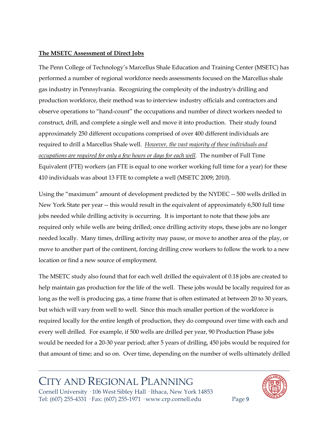### **The MSETC Assessment of Direct Jobs**

The Penn College of Technology's Marcellus Shale Education and Training Center (MSETC) has performed a number of regional workforce needs assessments focused on the Marcellus shale gas industry in Pennsylvania. Recognizing the complexity of the industry's drilling and production workforce, their method was to interview industry officials and contractors and observe operations to "hand-count" the occupations and number of direct workers needed to construct, drill, and complete a single well and move it into production. Their study found approximately 250 different occupations comprised of over 400 different individuals are required to drill a Marcellus Shale well. *However, the vast majority of these individuals and occupations are required for only a few hours or days for each well.* The number of Full Time Equivalent (FTE) workers (an FTE is equal to one worker working full time for a year) for these 410 individuals was about 13 FTE to complete a well (MSETC 2009; 2010).

Using the "maximum" amount of development predicted by the NYDEC -- 500 wells drilled in New York State per year -- this would result in the equivalent of approximately 6,500 full time jobs needed while drilling activity is occurring. It is important to note that these jobs are required only while wells are being drilled; once drilling activity stops, these jobs are no longer needed locally. Many times, drilling activity may pause, or move to another area of the play, or move to another part of the continent, forcing drilling crew workers to follow the work to a new location or find a new source of employment.

The MSETC study also found that for each well drilled the equivalent of 0.18 jobs are created to help maintain gas production for the life of the well. These jobs would be locally required for as long as the well is producing gas, a time frame that is often estimated at between 20 to 30 years, but which will vary from well to well. Since this much smaller portion of the workforce is required locally for the entire length of production, they do compound over time with each and every well drilled. For example, if 500 wells are drilled per year, 90 Production Phase jobs would be needed for a 20-30 year period; after 5 years of drilling, 450 jobs would be required for that amount of time; and so on. Over time, depending on the number of wells ultimately drilled

# CITY AND REGIONAL PLANNING

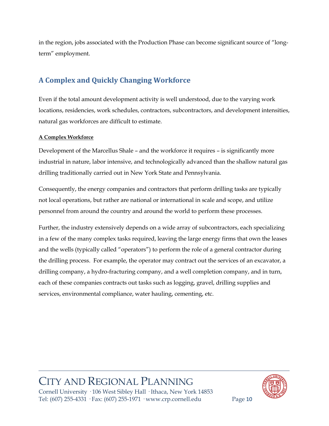in the region, jobs associated with the Production Phase can become significant source of "longterm" employment.

## **A Complex and Quickly Changing Workforce**

Even if the total amount development activity is well understood, due to the varying work locations, residencies, work schedules, contractors, subcontractors, and development intensities, natural gas workforces are difficult to estimate.

### **A Complex Workforce**

Development of the Marcellus Shale – and the workforce it requires – is significantly more industrial in nature, labor intensive, and technologically advanced than the shallow natural gas drilling traditionally carried out in New York State and Pennsylvania.

Consequently, the energy companies and contractors that perform drilling tasks are typically not local operations, but rather are national or international in scale and scope, and utilize personnel from around the country and around the world to perform these processes.

Further, the industry extensively depends on a wide array of subcontractors, each specializing in a few of the many complex tasks required, leaving the large energy firms that own the leases and the wells (typically called "operators") to perform the role of a general contractor during the drilling process. For example, the operator may contract out the services of an excavator, a drilling company, a hydro-fracturing company, and a well completion company, and in turn, each of these companies contracts out tasks such as logging, gravel, drilling supplies and services, environmental compliance, water hauling, cementing, etc.

# CITY AND REGIONAL PLANNING

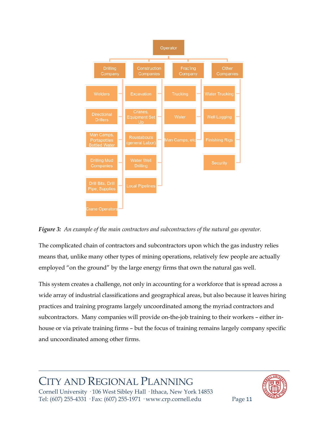

*Figure 3: An example of the main contractors and subcontractors of the natural gas operator.* 

The complicated chain of contractors and subcontractors upon which the gas industry relies means that, unlike many other types of mining operations, relatively few people are actually employed "on the ground" by the large energy firms that own the natural gas well.

This system creates a challenge, not only in accounting for a workforce that is spread across a wide array of industrial classifications and geographical areas, but also because it leaves hiring practices and training programs largely uncoordinated among the myriad contractors and subcontractors. Many companies will provide on-the-job training to their workers – either inhouse or via private training firms – but the focus of training remains largely company specific and uncoordinated among other firms.

## ITY AND REGIONAL PLANNING Cornell University · 106 West Sibley Hall · Ithaca, New York 14853



Tel: (607) 255-4331 · Fax: (607) 255-1971 · www.crp.cornell.edu Page 11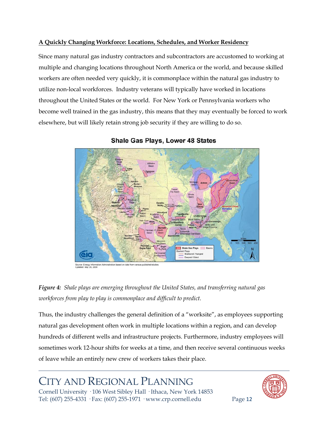### **A Quickly Changing Workforce: Locations, Schedules, and Worker Residency**

Since many natural gas industry contractors and subcontractors are accustomed to working at multiple and changing locations throughout North America or the world, and because skilled workers are often needed very quickly, it is commonplace within the natural gas industry to utilize non-local workforces. Industry veterans will typically have worked in locations throughout the United States or the world. For New York or Pennsylvania workers who become well trained in the gas industry, this means that they may eventually be forced to work elsewhere, but will likely retain strong job security if they are willing to do so.



**Shale Gas Plays, Lower 48 States** 

tion Administration based on data from various pub



Thus, the industry challenges the general definition of a "worksite", as employees supporting natural gas development often work in multiple locations within a region, and can develop hundreds of different wells and infrastructure projects. Furthermore, industry employees will sometimes work 12-hour shifts for weeks at a time, and then receive several continuous weeks of leave while an entirely new crew of workers takes their place.

# CITY AND REGIONAL PLANNING

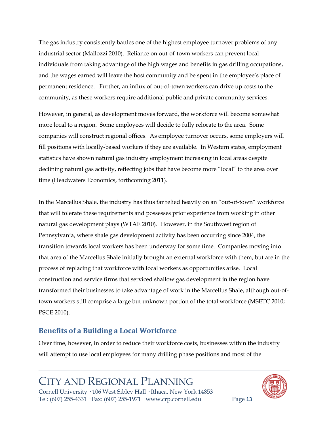The gas industry consistently battles one of the highest employee turnover problems of any industrial sector (Mallozzi 2010). Reliance on out-of-town workers can prevent local individuals from taking advantage of the high wages and benefits in gas drilling occupations, and the wages earned will leave the host community and be spent in the employee's place of permanent residence. Further, an influx of out-of-town workers can drive up costs to the community, as these workers require additional public and private community services.

However, in general, as development moves forward, the workforce will become somewhat more local to a region. Some employees will decide to fully relocate to the area. Some companies will construct regional offices. As employee turnover occurs, some employers will fill positions with locally-based workers if they are available. In Western states, employment statistics have shown natural gas industry employment increasing in local areas despite declining natural gas activity, reflecting jobs that have become more "local" to the area over time (Headwaters Economics, forthcoming 2011).

In the Marcellus Shale, the industry has thus far relied heavily on an "out-of-town" workforce that will tolerate these requirements and possesses prior experience from working in other natural gas development plays (WTAE 2010). However, in the Southwest region of Pennsylvania, where shale gas development activity has been occurring since 2004, the transition towards local workers has been underway for some time. Companies moving into that area of the Marcellus Shale initially brought an external workforce with them, but are in the process of replacing that workforce with local workers as opportunities arise. Local construction and service firms that serviced shallow gas development in the region have transformed their businesses to take advantage of work in the Marcellus Shale, although out-oftown workers still comprise a large but unknown portion of the total workforce (MSETC 2010; PSCE 2010).

## **Benefits of a Building a Local Workforce**

Over time, however, in order to reduce their workforce costs, businesses within the industry will attempt to use local employees for many drilling phase positions and most of the

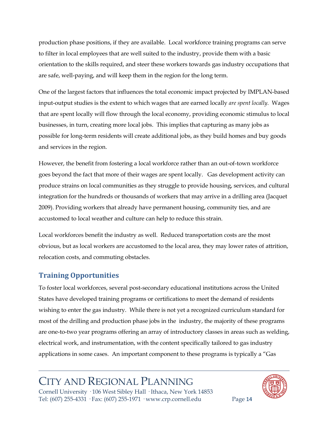production phase positions, if they are available. Local workforce training programs can serve to filter in local employees that are well suited to the industry, provide them with a basic orientation to the skills required, and steer these workers towards gas industry occupations that are safe, well-paying, and will keep them in the region for the long term.

One of the largest factors that influences the total economic impact projected by IMPLAN-based input-output studies is the extent to which wages that are earned locally *are spent locally*. Wages that are spent locally will flow through the local economy, providing economic stimulus to local businesses, in turn, creating more local jobs. This implies that capturing as many jobs as possible for long-term residents will create additional jobs, as they build homes and buy goods and services in the region.

However, the benefit from fostering a local workforce rather than an out-of-town workforce goes beyond the fact that more of their wages are spent locally. Gas development activity can produce strains on local communities as they struggle to provide housing, services, and cultural integration for the hundreds or thousands of workers that may arrive in a drilling area (Jacquet 2009). Providing workers that already have permanent housing, community ties, and are accustomed to local weather and culture can help to reduce this strain.

Local workforces benefit the industry as well. Reduced transportation costs are the most obvious, but as local workers are accustomed to the local area, they may lower rates of attrition, relocation costs, and commuting obstacles.

## **Training Opportunities**

To foster local workforces, several post-secondary educational institutions across the United States have developed training programs or certifications to meet the demand of residents wishing to enter the gas industry. While there is not yet a recognized curriculum standard for most of the drilling and production phase jobs in the industry, the majority of these programs are one-to-two year programs offering an array of introductory classes in areas such as welding, electrical work, and instrumentation, with the content specifically tailored to gas industry applications in some cases. An important component to these programs is typically a "Gas

# CITY AND REGIONAL PLANNING

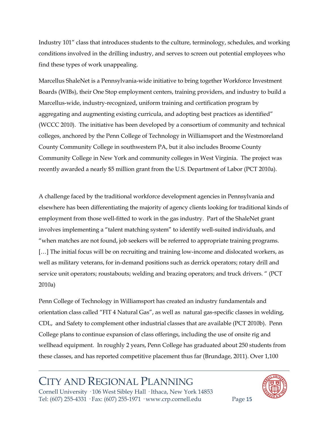Industry 101" class that introduces students to the culture, terminology, schedules, and working conditions involved in the drilling industry, and serves to screen out potential employees who find these types of work unappealing.

Marcellus ShaleNet is a Pennsylvania-wide initiative to bring together Workforce Investment Boards (WIBs), their One Stop employment centers, training providers, and industry to build a Marcellus-wide, industry-recognized, uniform training and certification program by aggregating and augmenting existing curricula, and adopting best practices as identified" (WCCC 2010). The initiative has been developed by a consortium of community and technical colleges, anchored by the Penn College of Technology in Williamsport and the Westmoreland County Community College in southwestern PA, but it also includes Broome County Community College in New York and community colleges in West Virginia. The project was recently awarded a nearly \$5 million grant from the U.S. Department of Labor (PCT 2010a).

A challenge faced by the traditional workforce development agencies in Pennsylvania and elsewhere has been differentiating the majority of agency clients looking for traditional kinds of employment from those well-fitted to work in the gas industry. Part of the ShaleNet grant involves implementing a "talent matching system" to identify well-suited individuals, and "when matches are not found, job seekers will be referred to appropriate training programs. [...] The initial focus will be on recruiting and training low-income and dislocated workers, as well as military veterans, for in-demand positions such as derrick operators; rotary drill and service unit operators; roustabouts; welding and brazing operators; and truck drivers. " (PCT 2010a)

Penn College of Technology in Williamsport has created an industry fundamentals and orientation class called "FIT 4 Natural Gas", as well as natural gas-specific classes in welding, CDL, and Safety to complement other industrial classes that are available (PCT 2010b). Penn College plans to continue expansion of class offerings, including the use of onsite rig and wellhead equipment. In roughly 2 years, Penn College has graduated about 250 students from these classes, and has reported competitive placement thus far (Brundage, 2011). Over 1,100

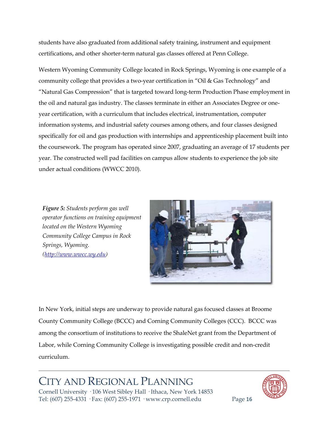students have also graduated from additional safety training, instrument and equipment certifications, and other shorter-term natural gas classes offered at Penn College.

Western Wyoming Community College located in Rock Springs, Wyoming is one example of a community college that provides a two-year certification in "Oil & Gas Technology" and "Natural Gas Compression" that is targeted toward long-term Production Phase employment in the oil and natural gas industry. The classes terminate in either an Associates Degree or oneyear certification, with a curriculum that includes electrical, instrumentation, computer information systems, and industrial safety courses among others, and four classes designed specifically for oil and gas production with internships and apprenticeship placement built into the coursework. The program has operated since 2007, graduating an average of 17 students per year. The constructed well pad facilities on campus allow students to experience the job site under actual conditions (WWCC 2010).

*Figure 5: Students perform gas well operator functions on training equipment located on the Western Wyoming Community College Campus in Rock Springs, Wyoming. [\(http://www.wwcc.wy.edu\)](http://www.wwcc.wy.edu/)*



In New York, initial steps are underway to provide natural gas focused classes at Broome County Community College (BCCC) and Corning Community Colleges (CCC). BCCC was among the consortium of institutions to receive the ShaleNet grant from the Department of Labor, while Corning Community College is investigating possible credit and non-credit curriculum.

# CITY AND REGIONAL PLANNING

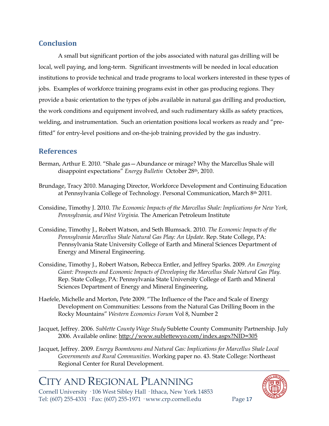### **Conclusion**

A small but significant portion of the jobs associated with natural gas drilling will be local, well paying, and long-term. Significant investments will be needed in local education institutions to provide technical and trade programs to local workers interested in these types of jobs. Examples of workforce training programs exist in other gas producing regions. They provide a basic orientation to the types of jobs available in natural gas drilling and production, the work conditions and equipment involved, and such rudimentary skills as safety practices, welding, and instrumentation. Such an orientation positions local workers as ready and "prefitted" for entry-level positions and on-the-job training provided by the gas industry.

### **References**

- Berman, Arthur E. 2010. "Shale gas—Abundance or mirage? Why the Marcellus Shale will disappoint expectations" *Energy Bulletin* October 28th, 2010.
- Brundage, Tracy 2010. Managing Director, Workforce Development and Continuing Education at Pennsylvania College of Technology. Personal Communication, March 8<sup>th</sup> 2011.
- Considine, Timothy J. 2010. *The Economic Impacts of the Marcellus Shale: Implications for New York, Pennsylvania, and West Virginia.* The American Petroleum Institute
- Considine, Timothy J., Robert Watson, and Seth Blumsack. 2010. *The Economic Impacts of the Pennsylvania Marcellus Shale Natural Gas Play: An Update*. Rep. State College, PA: Pennsylvania State University College of Earth and Mineral Sciences Department of Energy and Mineral Engineering.
- Considine, Timothy J., Robert Watson, Rebecca Entler, and Jeffrey Sparks. 2009. *An Emerging Giant: Prospects and Economic Impacts of Developing the Marcellus Shale Natural Gas Play*. Rep. State College, PA: Pennsylvania State University College of Earth and Mineral Sciences Department of Energy and Mineral Engineering,
- Haefele, Michelle and Morton, Pete 2009. "The Influence of the Pace and Scale of Energy Development on Communities: Lessons from the Natural Gas Drilling Boom in the Rocky Mountains" *Western Economics Forum* Vol 8, Number 2
- Jacquet, Jeffrey. 2006. *Sublette County Wage Study* Sublette County Community Partnership. July 2006. Available online:<http://www.sublettewyo.com/index.aspx?NID=305>
- Jacquet, Jeffrey. 2009. *Energy Boomtowns and Natural Gas: Implications for Marcellus Shale Local Governments and Rural Communities*. Working paper no. 43. State College: Northeast Regional Center for Rural Development.

# CITY AND REGIONAL PLANNING

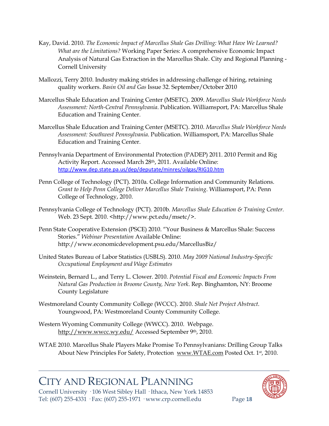- Kay, David. 2010. *The Economic Impact of Marcellus Shale Gas Drilling: What Have We Learned? What are the Limitations?* Working Paper Series: A comprehensive Economic Impact Analysis of Natural Gas Extraction in the Marcellus Shale. City and Regional Planning - Cornell University
- Mallozzi, Terry 2010. Industry making strides in addressing challenge of hiring, retaining quality workers. *Basin Oil and Gas* Issue 32. September/October 2010
- Marcellus Shale Education and Training Center (MSETC). 2009. *Marcellus Shale Workforce Needs Assessment: North-Central Pennsylvania*. Publication. Williamsport, PA: Marcellus Shale Education and Training Center.
- Marcellus Shale Education and Training Center (MSETC). 2010. *Marcellus Shale Workforce Needs Assessment: Southwest Pennsylvania*. Publication. Williamsport, PA: Marcellus Shale Education and Training Center.
- Pennsylvania Department of Environmental Protection (PADEP) 2011. 2010 Permit and Rig Activity Report. Accessed March 28th, 2011. Available Online: <http://www.dep.state.pa.us/dep/deputate/minres/oilgas/RIG10.htm>
- Penn College of Technology (PCT). 2010a. College Information and Community Relations. *Grant to Help Penn College Deliver Marcellus Shale Training*. Williamsport, PA: Penn College of Technology, 2010.
- Pennsylvania College of Technology (PCT). 2010b. *Marcellus Shale Education & Training Center.* Web. 23 Sept. 2010. <http://www.pct.edu/msetc/>.
- Penn State Cooperative Extension (PSCE) 2010. "Your Business & Marcellus Shale: Success Stories." *Webinar Presentation* Available Online: http://www.economicdevelopment.psu.edu/MarcellusBiz/
- United States Bureau of Labor Statistics (USBLS). 2010. *May 2009 National Industry-Specific Occupational Employment and Wage Estimates*
- Weinstein, Bernard L., and Terry L. Clower. 2010. *Potential Fiscal and Economic Impacts From Natural Gas Production in Broome County, New York*. Rep. Binghamton, NY: Broome County Legislature
- Westmoreland County Community College (WCCC). 2010. *Shale Net Project Abstract*. Youngwood, PA: Westmoreland County Community College.
- Western Wyoming Community College (WWCC). 2010. Webpage. <http://www.wwcc.wy.edu/> Accessed September 9th, 2010.

WTAE 2010. Marcellus Shale Players Make Promise To Pennsylvanians: Drilling Group Talks About New Principles For Safety, Protection [www.WTAE.com](http://www.wtae.com/) Posted Oct. 1<sup>st</sup>, 2010.

# CITY AND REGIONAL PLANNING